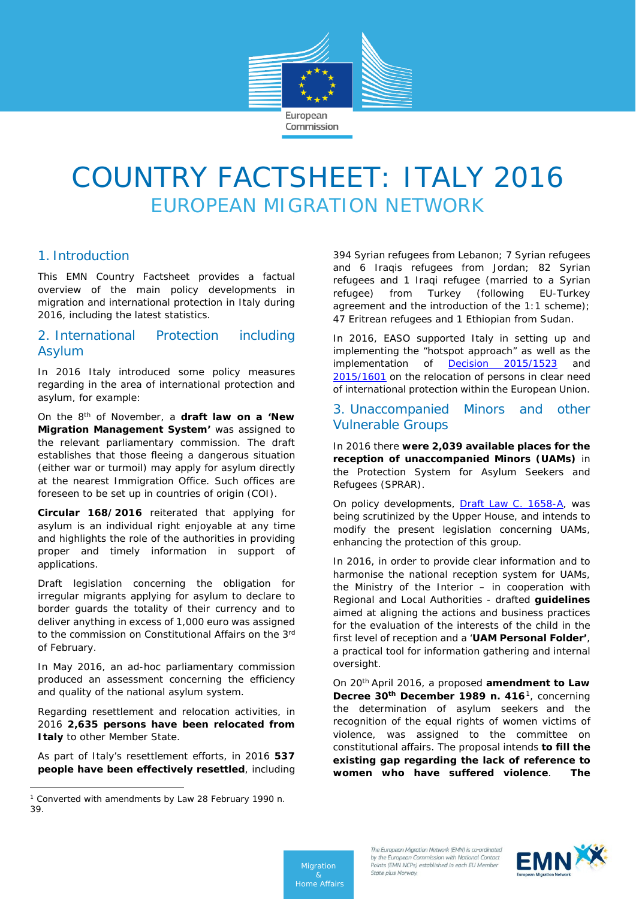

# COUNTRY FACTSHEET: ITALY 2016 EUROPEAN MIGRATION NETWORK

## 1. Introduction

This EMN Country Factsheet provides a factual overview of the main policy developments in migration and international protection in Italy during 2016, including the latest statistics.

## 2. International Protection including Asylum

In 2016 Italy introduced some policy measures regarding in the area of international protection and asylum, for example:

On the 8th of November, a **draft law on a 'New Migration Management System'** was assigned to the relevant parliamentary commission. The draft establishes that those fleeing a dangerous situation (either war or turmoil) may apply for asylum directly at the nearest Immigration Office. Such offices are foreseen to be set up in countries of origin (COI).

**Circular 168/2016** reiterated that applying for asylum is an individual right enjoyable at any time and highlights the role of the authorities in providing proper and timely information in support of applications.

Draft legislation concerning the obligation for irregular migrants applying for asylum to declare to border guards the totality of their currency and to deliver anything in excess of 1,000 euro was assigned to the commission on Constitutional Affairs on the 3rd of February.

In May 2016, an ad-hoc parliamentary commission produced an assessment concerning the efficiency and quality of the national asylum system.

Regarding resettlement and relocation activities, in 2016 **2,635 persons have been relocated from Italy** to other Member State.

As part of Italy's resettlement efforts, in 2016 **537 people have been effectively resettled**, including

 $\overline{a}$ 

394 Syrian refugees from Lebanon; 7 Syrian refugees and 6 Iraqis refugees from Jordan; 82 Syrian refugees and 1 Iraqi refugee (married to a Syrian refugee) from Turkey (following EU-Turkey agreement and the introduction of the 1:1 scheme); 47 Eritrean refugees and 1 Ethiopian from Sudan.

In 2016, EASO supported Italy in setting up and implementing the "hotspot approach" as well as the implementation of **[Decision 2015/1523](http://eur-lex.europa.eu/legal-content/EN/TXT/PDF/?uri=CELEX:32015D1523&from=EN)** an[d](http://eur-lex.europa.eu/legal-content/EN/TXT/PDF/?uri=CELEX:32015D1601&from=EN) [2015/1601](http://eur-lex.europa.eu/legal-content/EN/TXT/PDF/?uri=CELEX:32015D1601&from=EN) on the relocation of persons in clear need of international protection within the European Union.

## 3. Unaccompanied Minors and other Vulnerable Groups

In 2016 there **were 2,039 available places for the reception of unaccompanied Minors (UAMs)** in the Protection System for Asylum Seekers and Refugees (SPRAR).

On policy developments, [Draft Law C. 1658-A,](http://www.camera.it/leg17/126?tab=2&leg=17&idDocumento=1658&sede=&tipo=) was being scrutinized by the Upper House, and intends to modify the present legislation concerning UAMs, enhancing the protection of this group.

In 2016, in order to provide clear information and to harmonise the national reception system for UAMs, the Ministry of the Interior – in cooperation with Regional and Local Authorities - drafted **guidelines** aimed at aligning the actions and business practices for the evaluation of the interests of the child in the first level of reception and a '**UAM Personal Folder'**, a practical tool for information gathering and internal oversight.

On 20th April 2016, a proposed **amendment to Law Decree 30th December 1989 n. 416**[1](#page-0-0), concerning the determination of asylum seekers and the recognition of the equal rights of women victims of violence, was assigned to the committee on constitutional affairs. The proposal intends **to fill the existing gap regarding the lack of reference to women who have suffered violence**. **The** 

*Migration Home Affairs*



<span id="page-0-0"></span><sup>&</sup>lt;sup>1</sup> Converted with amendments by Law 28 February 1990 n. 39.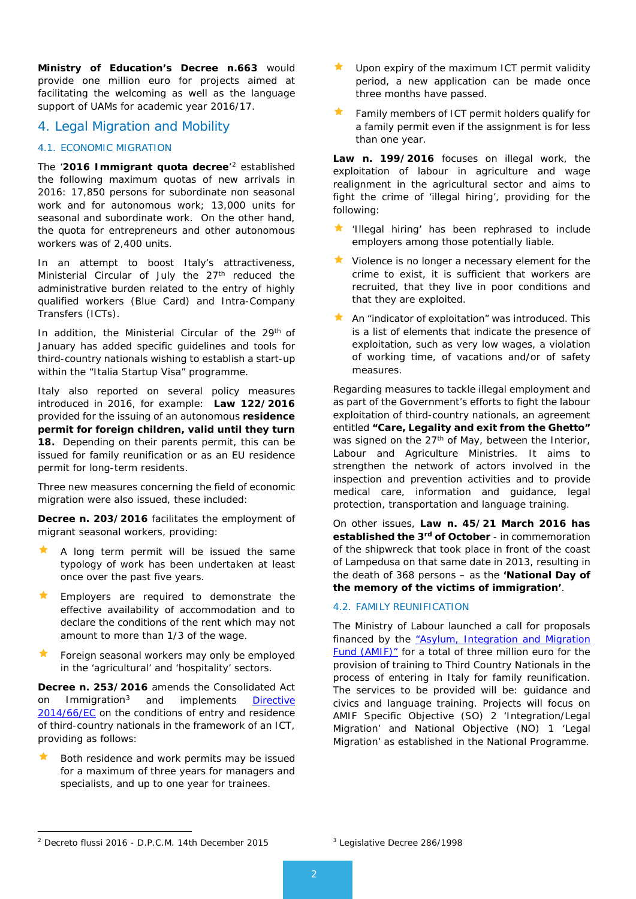**Ministry of Education's Decree n.663** would provide one million euro for projects aimed at facilitating the welcoming as well as the language support of UAMs for academic year 2016/17.

### 4. Legal Migration and Mobility

### 4.1. ECONOMIC MIGRATION

The '**2016 Immigrant quota decree**' [2](#page-1-0) established the following maximum quotas of new arrivals in 2016: 17,850 persons for subordinate non seasonal work and for autonomous work; 13,000 units for seasonal and subordinate work. On the other hand, the quota for entrepreneurs and other autonomous workers was of 2,400 units.

In an attempt to boost Italy's attractiveness, Ministerial Circular of July the 27<sup>th</sup> reduced the administrative burden related to the entry of highly qualified workers (Blue Card) and Intra-Company Transfers (ICTs).

In addition, the Ministerial Circular of the 29<sup>th</sup> of January has added specific guidelines and tools for third-country nationals wishing to establish a start-up within the "Italia Startup Visa" programme.

Italy also reported on several policy measures introduced in 2016, for example: **Law 122/2016** provided for the issuing of an autonomous **residence permit for foreign children, valid until they turn 18.** Depending on their parents permit, this can be issued for family reunification or as an EU residence permit for long-term residents.

Three new measures concerning the field of economic migration were also issued, these included:

**Decree n. 203/2016** facilitates the employment of migrant seasonal workers, providing:

- A long term permit will be issued the same typology of work has been undertaken at least once over the past five years.
- Employers are required to demonstrate the effective availability of accommodation and to declare the conditions of the rent which may not amount to more than 1/3 of the wage.
- Foreign seasonal workers may only be employed in the 'agricultural' and 'hospitality' sectors*.*

**Decree n. 253/2016** amends the Consolidated Act on Immigration[3](#page-1-0) and implements [Directive](http://mazzeschi.us13.list-manage.com/track/click?u=61414a7ce2629762ab1b568df&id=c30e8507d7&e=5d044bb057%23_blank)  [2014/66/EC](http://mazzeschi.us13.list-manage.com/track/click?u=61414a7ce2629762ab1b568df&id=c30e8507d7&e=5d044bb057%23_blank) on the conditions of entry and residence of third-country nationals in the framework of an ICT, providing as follows:

 Both residence and work permits may be issued for a maximum of three years for managers and specialists, and up to one year for trainees.

- Upon expiry of the maximum ICT permit validity period, a new application can be made once three months have passed.
- Family members of ICT permit holders qualify for a family permit even if the assignment is for less than one year.

**Law n. 199/2016** focuses on illegal work, the exploitation of labour in agriculture and wage realignment in the agricultural sector and aims to fight the crime of 'illegal hiring', providing for the following:

- $\star$  'Illegal hiring' has been rephrased to include employers among those potentially liable.
- Violence is no longer a necessary element for the crime to exist, it is sufficient that workers are recruited, that they live in poor conditions and that they are exploited.
- An "indicator of exploitation" was introduced. This is a list of elements that indicate the presence of exploitation, such as very low wages, a violation of working time, of vacations and/or of safety measures.

Regarding measures to tackle illegal employment and as part of the Government's efforts to fight the labour exploitation of third-country nationals, an agreement entitled **"Care, Legality and exit from the Ghetto"** was signed on the  $27<sup>th</sup>$  of May, between the Interior, Labour and Agriculture Ministries. It aims to strengthen the network of actors involved in the inspection and prevention activities and to provide medical care, information and guidance, legal protection, transportation and language training.

On other issues, **Law n. 45/21 March 2016 has established the 3rd of October** - in commemoration of the shipwreck that took place in front of the coast of Lampedusa on that same date in 2013, resulting in the death of 368 persons – as the **'National Day of the memory of the victims of immigration'**.

### 4.2. FAMILY REUNIFICATION

The Ministry of Labour launched a call for proposals financed by the "Asylum, Integration and Migration [Fund \(AMIF\)"](https://ec.europa.eu/home-affairs/financing/fundings/migration-asylum-borders/asylum-migration-integration-fund_en) for a total of three million euro for the provision of training to Third Country Nationals in the process of entering in Italy for family reunification. The services to be provided will be: guidance and civics and language training. Projects will focus on AMIF Specific Objective (SO) 2 'Integration/Legal Migration' and National Objective (NO) 1 'Legal Migration' as established in the National Programme.

<span id="page-1-0"></span><sup>2</sup> Decreto flussi 2016 - D.P.C.M. 14th December 2015 1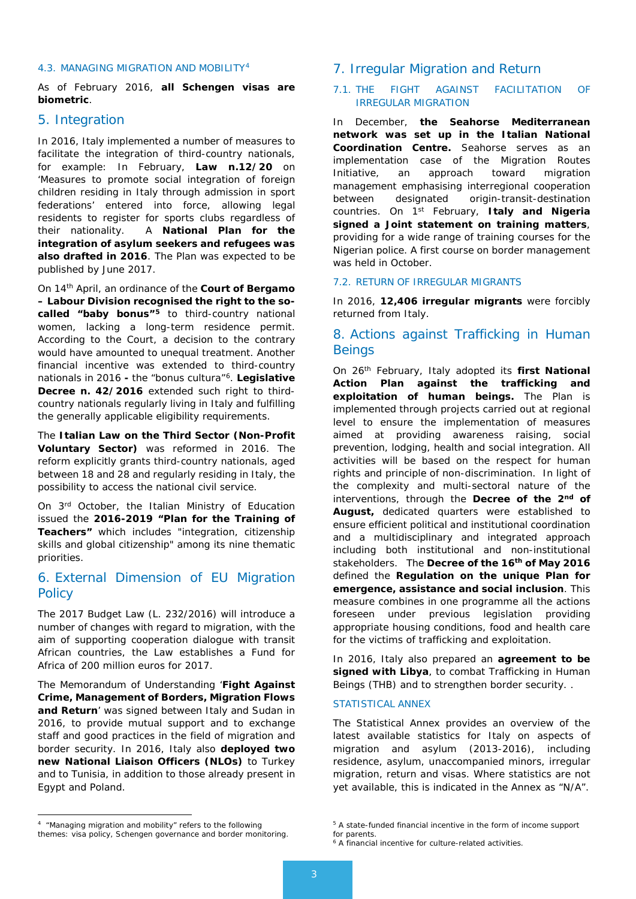### 4.3. MANAGING MIGRATION AND MOBILITY[4](#page-2-0)

As of February 2016, **all Schengen visas are biometric**.

### 5. Integration

In 2016, Italy implemented a number of measures to facilitate the integration of third-country nationals, for example: In February, **Law n.12/20** on 'Measures to promote social integration of foreign children residing in Italy through admission in sport federations' entered into force, allowing legal residents to register for sports clubs regardless of their nationality. A **National Plan for the integration of asylum seekers and refugees was also drafted in 2016**. The Plan was expected to be published by June 2017.

On 14th April, an ordinance of the **Court of Bergamo – Labour Division recognised the right to the socalled "baby bonus"[5](#page-2-0)** to third-country national women, lacking a long-term residence permit. According to the Court, a decision to the contrary would have amounted to unequal treatment. Another financial incentive was extended to third-country nationals in 2016 **-** the "bonus cultura"[6](#page-2-1). **Legislative Decree n. 42/2016** extended such right to thirdcountry nationals regularly living in Italy and fulfilling the generally applicable eligibility requirements.

The **Italian Law on the Third Sector (Non-Profit Voluntary Sector)** was reformed in 2016. The reform explicitly grants third-country nationals, aged between 18 and 28 and regularly residing in Italy, the possibility to access the national civil service.

On 3rd October, the Italian Ministry of Education issued the **2016-2019 "Plan for the Training of Teachers"** which includes "integration, citizenship skills and global citizenship" among its nine thematic priorities.

## 6. External Dimension of EU Migration **Policy**

The 2017 Budget Law (L. 232/2016) will introduce a number of changes with regard to migration, with the aim of supporting cooperation dialogue with transit African countries, the Law establishes a Fund for Africa of 200 million euros for 2017.

The Memorandum of Understanding '**Fight Against Crime, Management of Borders, Migration Flows and Return**' was signed between Italy and Sudan in 2016, to provide mutual support and to exchange staff and good practices in the field of migration and border security. In 2016, Italy also **deployed two new National Liaison Officers (NLOs)** to Turkey and to Tunisia, in addition to those already present in Egypt and Poland.

### 7.1. THE FIGHT AGAINST FACILITATION OF IRREGULAR MIGRATION

In December, **the Seahorse Mediterranean network was set up in the Italian National Coordination Centre.** Seahorse serves as an implementation case of the Migration Routes Initiative, an approach toward migration management emphasising interregional cooperation between designated origin-transit-destination countries. On 1st February, **Italy and Nigeria signed a Joint statement on training matters**, providing for a wide range of training courses for the Nigerian police. A first course on border management was held in October.

### 7.2. RETURN OF IRREGULAR MIGRANTS

In 2016, **12,406 irregular migrants** were forcibly returned from Italy.

## 8. Actions against Trafficking in Human **Beings**

On 26th February, Italy adopted its **first National Action Plan against the trafficking and exploitation of human beings.** The Plan is implemented through projects carried out at regional level to ensure the implementation of measures aimed at providing awareness raising, social prevention, lodging, health and social integration. All activities will be based on the respect for human rights and principle of non-discrimination. In light of the complexity and multi-sectoral nature of the interventions, through the **Decree of the 2nd of August,** dedicated quarters were established to ensure efficient political and institutional coordination and a multidisciplinary and integrated approach including both institutional and non-institutional stakeholders. The **Decree of the 16th of May 2016**  defined the **Regulation on the unique Plan for emergence, assistance and social inclusion**. This measure combines in one programme all the actions foreseen under previous legislation providing appropriate housing conditions, food and health care for the victims of trafficking and exploitation.

In 2016, Italy also prepared an **agreement to be signed with Libya**, to combat Trafficking in Human Beings (THB) and to strengthen border security. .

### STATISTICAL ANNEX

The Statistical Annex provides an overview of the latest available statistics for Italy on aspects of migration and asylum (2013-2016), including residence, asylum, unaccompanied minors, irregular migration, return and visas. Where statistics are not yet available, this is indicated in the Annex as "N/A".

 $\overline{a}$ 

<sup>7.</sup> Irregular Migration and Return

<span id="page-2-1"></span><span id="page-2-0"></span><sup>&</sup>lt;sup>4</sup> "Managing migration and mobility" refers to the following themes: visa policy, Schengen governance and border monitoring.

<sup>5</sup> A state-funded financial incentive in the form of income support

for parents.

<sup>6</sup> A financial incentive for culture-related activities.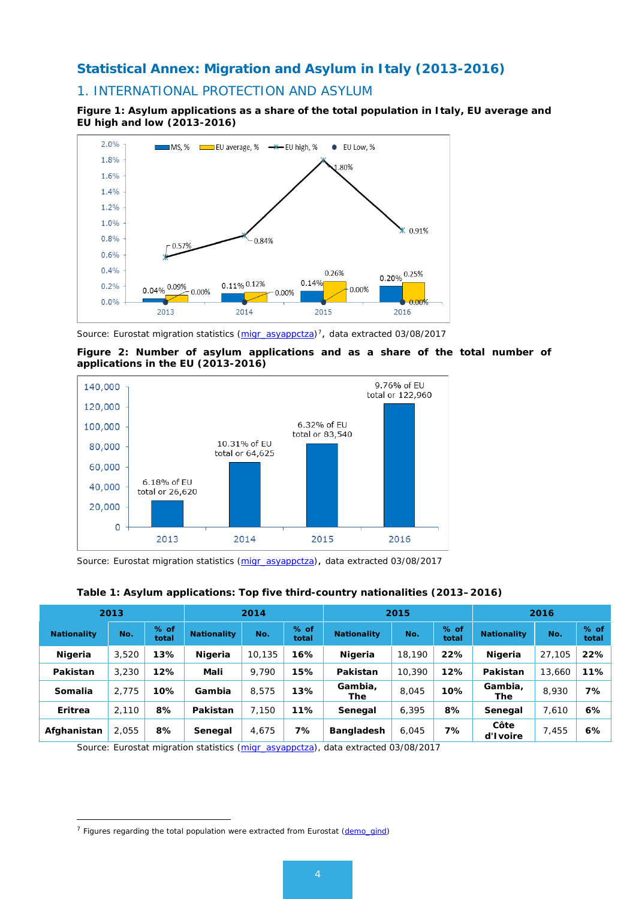## **Statistical Annex: Migration and Asylum in Italy (2013-2016)**

## 1. INTERNATIONAL PROTECTION AND ASYLUM

**Figure 1: Asylum applications as a share of the total population in Italy, EU average and EU high and low (2013-2016)**



*Source: Eurostat migration statistics [\(migr\\_asyappctza\)](http://appsso.eurostat.ec.europa.eu/nui/show.do?dataset=migr_asyappctza&lang=en)[7](#page-3-0), data extracted 03/08/2017*





*Source: Eurostat migration statistics [\(migr\\_asyappctza\)](http://appsso.eurostat.ec.europa.eu/nui/show.do?dataset=migr_asyappctza&lang=en), data extracted 03/08/2017*

| Table 1: Asylum applications: Top five third-country nationalities (2013-2016) |
|--------------------------------------------------------------------------------|
|--------------------------------------------------------------------------------|

| 2013               |       | 2014            |                    | 2015   |                 |                    | 2016   |                 |                    |        |               |
|--------------------|-------|-----------------|--------------------|--------|-----------------|--------------------|--------|-----------------|--------------------|--------|---------------|
| <b>Nationality</b> | No.   | $%$ of<br>total | <b>Nationality</b> | No.    | $%$ of<br>total | <b>Nationality</b> | No.    | $%$ of<br>total | <b>Nationality</b> | No.    | % of<br>total |
| Nigeria            | 3,520 | 13%             | Nigeria            | 10,135 | 16%             | <b>Nigeria</b>     | 18,190 | 22%             | Nigeria            | 27,105 | 22%           |
| Pakistan           | 3,230 | 12%             | Mali               | 9.790  | 15%             | Pakistan           | 10,390 | 12%             | Pakistan           | 13,660 | 11%           |
| Somalia            | 2.775 | 10%             | Gambia             | 8.575  | 13%             | Gambia,<br>The     | 8,045  | 10%             | Gambia,<br>The     | 8,930  | 7%            |
| Eritrea            | 2,110 | 8%              | Pakistan           | 7.150  | 11%             | Senegal            | 6,395  | 8%              | Senegal            | 7,610  | 6%            |
| Afghanistan        | 2.055 | 8%              | Senegal            | 4,675  | 7%              | <b>Bangladesh</b>  | 6,045  | 7%              | Côte<br>d'Ivoire   | 7,455  | 6%            |

*Source: Eurostat migration statistics [\(migr\\_asyappctza\)](http://appsso.eurostat.ec.europa.eu/nui/show.do?dataset=migr_asyappctza&lang=en), data extracted 03/08/2017*

-

<span id="page-3-0"></span><sup>&</sup>lt;sup>7</sup> Figures regarding the total population were extracted from Eurostat [\(demo\\_gind\)](http://appsso.eurostat.ec.europa.eu/nui/show.do?dataset=demo_gind&lang=en)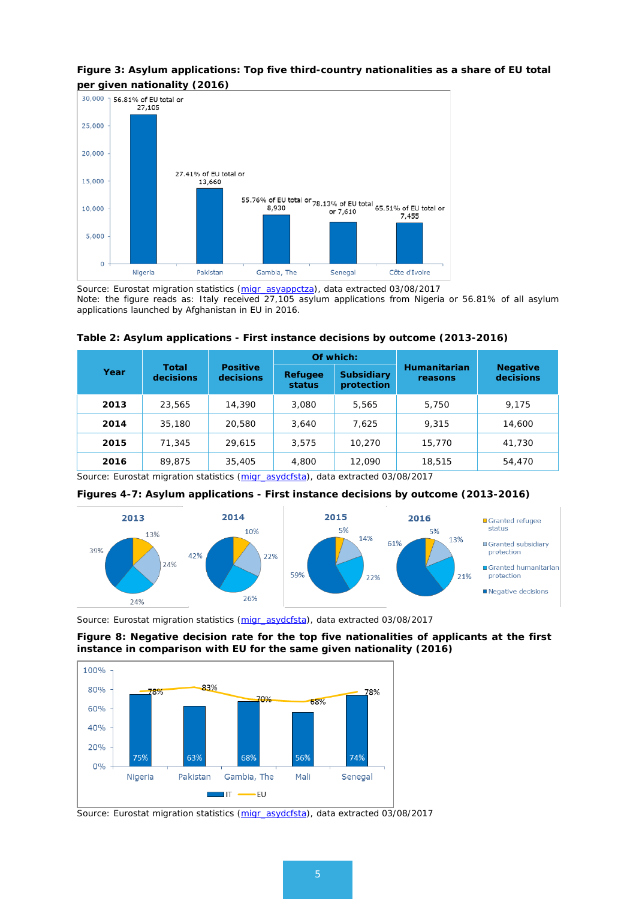## **Figure 3: Asylum applications: Top five third-country nationalities as a share of EU total**



*Source: Eurostat migration statistics [\(migr\\_asyappctza\)](http://appsso.eurostat.ec.europa.eu/nui/show.do?dataset=migr_asyappctza&lang=en), data extracted 03/08/2017 Note: the figure reads as: Italy received 27,105 asylum applications from Nigeria or 56.81% of all asylum applications launched by Afghanistan in EU in 2016.*

|      |                           |                              |                   | Of which:                       |                         | <b>Negative</b><br>decisions |  |
|------|---------------------------|------------------------------|-------------------|---------------------------------|-------------------------|------------------------------|--|
| Year | <b>Total</b><br>decisions | <b>Positive</b><br>decisions | Refugee<br>status | <b>Subsidiary</b><br>protection | Humanitarian<br>reasons |                              |  |
| 2013 | 23,565                    | 14,390                       | 3,080             | 5,565                           | 5,750                   | 9.175                        |  |
| 2014 | 35,180                    | 20,580                       | 3,640             | 7,625                           | 9,315                   | 14,600                       |  |
| 2015 | 71,345                    | 29,615                       | 3,575             | 10,270                          | 15,770                  | 41,730                       |  |
| 2016 | 89,875                    | 35,405                       | 4,800             | 12,090                          | 18,515                  | 54,470                       |  |

**Table 2: Asylum applications - First instance decisions by outcome (2013-2016)**

*Source: Eurostat migration statistics [\(migr\\_asydcfsta\)](http://appsso.eurostat.ec.europa.eu/nui/show.do?dataset=migr_asydcfsta&lang=en), data extracted 03/08/2017*





*Source: Eurostat migration statistics [\(migr\\_asydcfsta\)](http://appsso.eurostat.ec.europa.eu/nui/show.do?dataset=migr_asydcfsta&lang=en), data extracted 03/08/2017*

### **Figure 8: Negative decision rate for the top five nationalities of applicants at the first instance in comparison with EU for the same given nationality (2016)**



*Source: Eurostat migration statistics [\(migr\\_asydcfsta\)](http://appsso.eurostat.ec.europa.eu/nui/show.do?dataset=migr_asydcfsta&lang=en), data extracted 03/08/2017*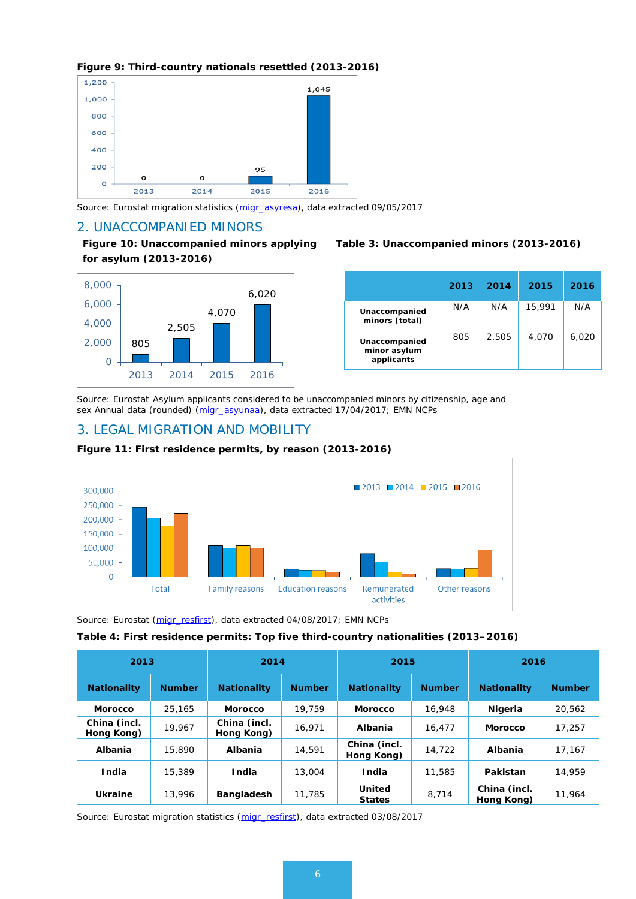### **Figure 9: Third-country nationals resettled (2013-2016)**



*Source: Eurostat migration statistics [\(migr\\_asyresa\)](http://appsso.eurostat.ec.europa.eu/nui/show.do?dataset=migr_asyresa), data extracted 09/05/2017*

### 2. UNACCOMPANIED MINORS

**Figure 10: Unaccompanied minors applying for asylum (2013-2016)**



### **Table 3: Unaccompanied minors (2013-2016)**

|                                             | 2013 | 2014  | 2015   | 2016  |
|---------------------------------------------|------|-------|--------|-------|
| Unaccompanied<br>minors (total)             | N/A  | N/A   | 15,991 | N/A   |
| Unaccompanied<br>minor asylum<br>applicants | 805  | 2.505 | 4,070  | 6,020 |

*Source: Eurostat Asylum applicants considered to be unaccompanied minors by citizenship, age and sex Annual data (rounded) [\(migr\\_asyunaa\)](http://appsso.eurostat.ec.europa.eu/nui/show.do?dataset=migr_asyunaa&lang=en), data extracted 17/04/2017; EMN NCPs* 

## 3. LEGAL MIGRATION AND MOBILITY



### **Figure 11: First residence permits, by reason (2013-2016)**

*Source: Eurostat [\(migr\\_resfirst\)](http://appsso.eurostat.ec.europa.eu/nui/show.do?dataset=migr_resfirst&lang=en), data extracted 04/08/2017; EMN NCPs*

#### **Table 4: First residence permits: Top five third-country nationalities (2013–2016)**

| 2013                       |               | 2014                       |               | 2015                           |               | 2016                       |               |  |
|----------------------------|---------------|----------------------------|---------------|--------------------------------|---------------|----------------------------|---------------|--|
| <b>Nationality</b>         | <b>Number</b> | <b>Nationality</b>         | <b>Number</b> | <b>Nationality</b>             | <b>Number</b> | <b>Nationality</b>         | <b>Number</b> |  |
| <b>Morocco</b>             | 25.165        | <b>Morocco</b>             | 19.759        | <b>Morocco</b>                 | 16,948        | <b>Nigeria</b>             | 20,562        |  |
| China (incl.<br>Hong Kong) | 19.967        | China (incl.<br>Hong Kong) | 16.971        | Albania                        | 16,477        | <b>Morocco</b>             | 17.257        |  |
| Albania                    | 15,890        | <b>Albania</b>             | 14,591        | China (incl.<br>Hong Kong)     | 14,722        | <b>Albania</b>             | 17.167        |  |
| <b>India</b>               | 15,389        | <b>India</b>               | 13,004        | <b>India</b>                   | 11,585        | Pakistan                   | 14,959        |  |
| Ukraine                    | 13,996        | Bangladesh                 | 11,785        | <b>United</b><br><b>States</b> | 8,714         | China (incl.<br>Hong Kong) | 11,964        |  |

*Source: Eurostat migration statistics [\(migr\\_resfirst\)](http://appsso.eurostat.ec.europa.eu/nui/show.do?dataset=migr_resfirst&lang=en), data extracted 03/08/2017*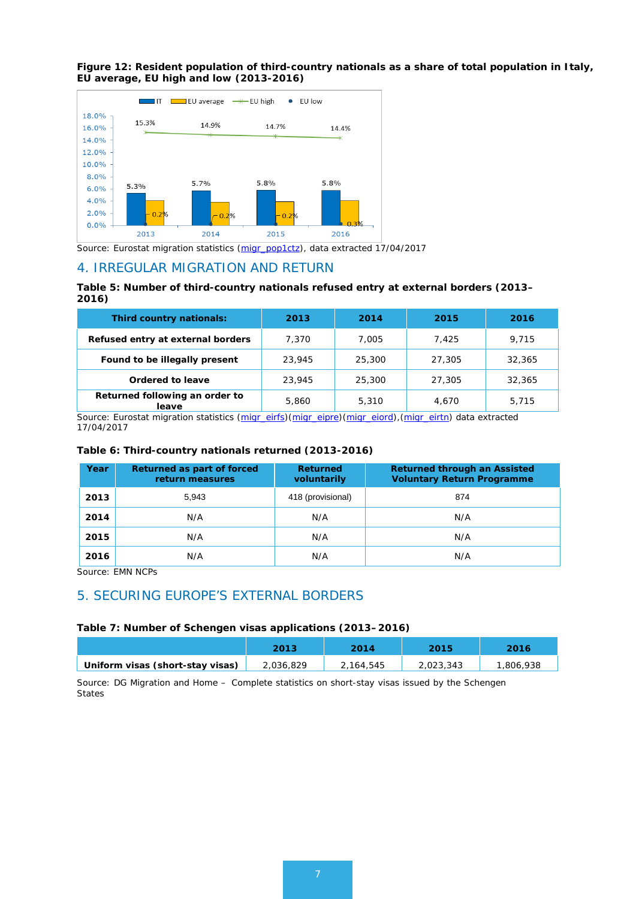

**Figure 12: Resident population of third-country nationals as a share of total population in Italy, EU average, EU high and low (2013-2016)** 

*Source: Eurostat migration statistics [\(migr\\_pop1ctz\)](http://appsso.eurostat.ec.europa.eu/nui/show.do?dataset=migr_pop1ctz&lang=en), data extracted 17/04/2017*

### 4. IRREGULAR MIGRATION AND RETURN

### **Table 5: Number of third-country nationals refused entry at external borders (2013– 2016)**

| Third country nationals:                | 2013   | 2014   | 2015   | 2016   |
|-----------------------------------------|--------|--------|--------|--------|
| Refused entry at external borders       | 7,370  | 7.005  | 7.425  | 9.715  |
| Found to be illegally present           | 23,945 | 25,300 | 27,305 | 32,365 |
| Ordered to leave                        | 23,945 | 25,300 | 27,305 | 32,365 |
| Returned following an order to<br>leave | 5,860  | 5,310  | 4.670  | 5.715  |

*Source: Eurostat migration statistics [\(migr\\_eirfs\)](http://appsso.eurostat.ec.europa.eu/nui/show.do?dataset=migr_eirfs&lang=en)[\(migr\\_eipre\)](http://appsso.eurostat.ec.europa.eu/nui/show.do?dataset=migr_eipre&lang=en)[\(migr\\_eiord\)](http://appsso.eurostat.ec.europa.eu/nui/show.do?dataset=migr_eiord&lang=en),[\(migr\\_eirtn\)](http://appsso.eurostat.ec.europa.eu/nui/show.do?dataset=MIGR_EIRTN&lang=en) data extracted 17/04/2017*

### **Table 6: Third-country nationals returned (2013-2016)**

| Year | Returned as part of forced<br>return measures | <b>Returned</b><br>voluntarily | <b>Returned through an Assisted</b><br><b>Voluntary Return Programme</b> |
|------|-----------------------------------------------|--------------------------------|--------------------------------------------------------------------------|
| 2013 | 5,943                                         | 418 (provisional)              | 874                                                                      |
| 2014 | N/A                                           | N/A                            | N/A                                                                      |
| 2015 | N/A                                           | N/A                            | N/A                                                                      |
| 2016 | N/A                                           | N/A                            | N/A                                                                      |

*Source: EMN NCPs* 

## 5. SECURING EUROPE'S EXTERNAL BORDERS

### **Table 7: Number of Schengen visas applications (2013–2016)**

|                                  | 2013      | 2014      | 2015      | 2016      |
|----------------------------------|-----------|-----------|-----------|-----------|
| Uniform visas (short-stay visas) | 2,036,829 | 2,164,545 | 2,023,343 | 1,806,938 |

*Source: DG Migration and Home – Complete statistics on short-stay visas issued by the Schengen States*